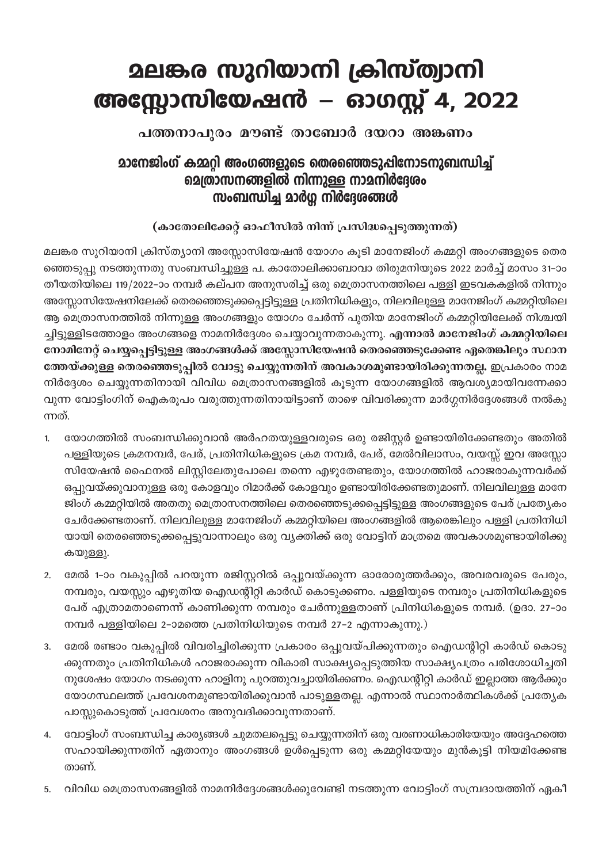## <u> മലങ്കര സുറിയാനി ക്രിസ്ത്വാനി</u> അസ്ലോസിയേഷൻ – ഓഗസ്റ്റ് 4, 2022

പത്തനാപുരം മൗണ്ട് താബോർ ദയറാ അങ്കണം

## മാനേജിംഗ് കമ്മറി അംഗങ്ങളുടെ തെരഞ്ഞെടുപ്പിനോടനുബന്ധിച്ച് മെത്രാസനങ്ങളിൽ നിന്നുള്ള നാമനിർദ്ദേശം സംബന്ധിച്ച മാർഗ്ഗ നിർദ്ദേശങ്ങൾ

## (കാതോലിക്കേറ്റ് ഓഫീസിൽ നിന്ന് പ്രസിദ്ധപ്പെടുത്തുന്നത്)

മലങ്കര സുറിയാനി ക്രിസ്ത്യാനി അസ്സോസിയേഷൻ യോഗം കൂടി മാനേജിംഗ് കമ്മറ്റി അംഗങ്ങളുടെ തെര ഞ്ഞെടുപ്പു നടത്തുന്നതു സംബന്ധിച്ചുള്ള പ. കാതോലിക്കാബാവാ തിരുമനിയുടെ 2022 മാർച്ച് മാസം 31–ാം തീയതിയിലെ 119/2022–ാം നമ്പർ കല്പന അനുസരിച്ച് ഒരു മെത്രാസനത്തിലെ പള്ളി ഇടവകകളിൽ നിന്നും അസ്ലോസിയേഷനിലേക്ക് തെരഞ്ഞെടുക്കപ്പെട്ടിട്ടുള്ള പ്രതിനിധികളും, നിലവിലുള്ള മാനേജിംഗ് കമ്മറ്റിയിലെ ആ മെത്രാസനത്തിൽ നിന്നുള്ള അംഗങ്ങളും യോഗം ചേർന്ന് പുതിയ മാനേജിംഗ് കമ്മറ്റിയിലേക്ക് നിശ്ചയി ച്ചിട്ടുള്ളിടത്തോളം അംഗങ്ങളെ നാമനിർദ്ദേശം ചെയ്യാവുന്നതാകുന്നു. എന്നാൽ മാനേജിംഗ് കമ്മറ്റിയിലെ നോമിനേറ്റ് ചെയ്യപ്പെട്ടിട്ടുള്ള അംഗങ്ങൾക്ക് അസ്സോസിയേഷൻ തെരഞ്ഞെടുക്കേണ്ട ഏതെങ്കിലും സ്ഥാന ത്തേയ്ക്കുള്ള തെരഞ്ഞെടുപ്പിൽ വോട്ടു ചെയ്യുന്നതിന് അവകാശമുണ്ടായിരിക്കുന്നതല്ല, ഇപ്രകാരം നാമ നിർദ്ദേശം ചെയ്യുന്നതിനായി വിവിധ മെത്രാസനങ്ങളിൽ കൂടുന്ന യോഗങ്ങളിൽ ആവശ്യമായിവന്നേക്കാ വുന്ന വോട്ടിംഗിന് ഐകരൂപം വരുത്തുന്നതിനായിട്ടാണ് താഴെ വിവരിക്കുന്ന മാർഗ്ഗനിർദ്ദേശങ്ങൾ നൽകു ന്നത്.

- യോഗത്തിൽ സംബന്ധിക്കുവാൻ അർഹതയുള്ളവരുടെ ഒരു രജിസ്റ്റർ ഉണ്ടായിരിക്കേണ്ടതും അതിൽ  $\mathbf{1}$ പള്ളിയുടെ ക്രമനമ്പർ, പേര്, പ്രതിനിധികളുടെ ക്രമ നമ്പർ, പേര്, മേൽവിലാസം, വയസ്സ് ഇവ അസ്സോ സിയേഷൻ ഫൈനൽ ലിസ്റ്റിലേതുപോലെ തന്നെ എഴുതേണ്ടതും, യോഗത്തിൽ ഹാജരാകുന്നവർക്ക് ഒപ്പുവയ്ക്കുവാനുള്ള ഒരു കോളവും റിമാർക്ക് കോളവും ഉണ്ടായിരിക്കേണ്ടതുമാണ്. നിലവിലുള്ള മാനേ ജിംഗ് കമ്മറ്റിയിൽ അതതു മെത്രാസനത്തിലെ തെരഞ്ഞെടുക്കപ്പെട്ടിട്ടുള്ള അംഗങ്ങളുടെ പേര് പ്രത്യേകം ചേർക്കേണ്ടതാണ്. നിലവിലുള്ള മാനേജിംഗ് കമ്മറ്റിയിലെ അംഗങ്ങളിൽ ആരെങ്കിലും പള്ളി പ്രതിനിധി യായി തെരഞ്ഞെടുക്കപ്പെട്ടുവാന്നാലും ഒരു വ്യക്തിക്ക് ഒരു വോട്ടിന് മാത്രമെ അവകാശമുണ്ടായിരിക്കു കയുള്ളു.
- മേൽ 1–ാം വകുപ്പിൽ പറയുന്ന രജിസ്റ്ററിൽ ഒപ്പുവയ്ക്കുന്ന ഓരോരുത്തർക്കും, അവരവരുടെ പേരും,  $2.$ നമ്പരും, വയസ്സും എഴുതിയ ഐഡന്റിറ്റി കാർഡ് കൊടുക്കണം. പള്ളിയുടെ നമ്പരും പ്രതിനിധികളുടെ പേര് എത്രാമതാണെന്ന് കാണിക്കുന്ന നമ്പരും ചേർന്നുള്ളതാണ് പ്രിനിധികളുടെ നമ്പർ. (ഉദാ. 27–ാം നമ്പർ പള്ളിയിലെ 2-ാമത്തെ പ്രതിനിധിയുടെ നമ്പർ 27-2 എന്നാകുന്നു.)
- മേൽ രണ്ടാം വകുപ്പിൽ വിവരിച്ചിരിക്കുന്ന പ്രകാരം ഒപ്പുവയ്പിക്കുന്നതും ഐഡന്റിറ്റി കാർഡ് കൊടു  $3.$ ക്കുന്നതും പ്രതിനിധികൾ ഹാജരാക്കുന്ന വികാരി സാക്ഷ്യപ്പെടുത്തിയ സാക്ഷ്യപത്രം പരിശോധിച്ചതി നുശേഷം യോഗം നടക്കുന്ന ഹാളിനു പുറത്തുവച്ചായിരിക്കണം. ഐഡന്റിറ്റി കാർഡ് ഇല്ലാത്ത ആർക്കും യോഗസ്ഥലത്ത് പ്രവേശനമുണ്ടായിരിക്കുവാൻ പാടുള്ളതല്ല. എന്നാൽ സ്ഥാനാർത്ഥികൾക്ക് പ്രത്യേക പാസ്കുകൊടുത്ത് പ്രവേശനം അനുവദിക്കാവുന്നതാണ്.
- വോട്ടിംഗ് സംബന്ധിച്ച കാര്യങ്ങൾ ചുമതലപ്പെട്ടു ചെയ്യുന്നതിന് ഒരു വരണാധികാരിയേയും അദ്ദേഹത്തെ 4. സഹായിക്കുന്നതിന് ഏതാനും അംഗങ്ങൾ ഉൾപ്പെടുന്ന ഒരു കമ്മറ്റിയേയും മുൻകൂട്ടി നിയമിക്കേണ്ട താണ്.
- വിവിധ മെത്രാസനങ്ങളിൽ നാമനിർദ്ദേശങ്ങൾക്കുവേണ്ടി നടത്തുന്ന വോട്ടിംഗ് സമ്പ്രദായത്തിന് ഏകീ 5.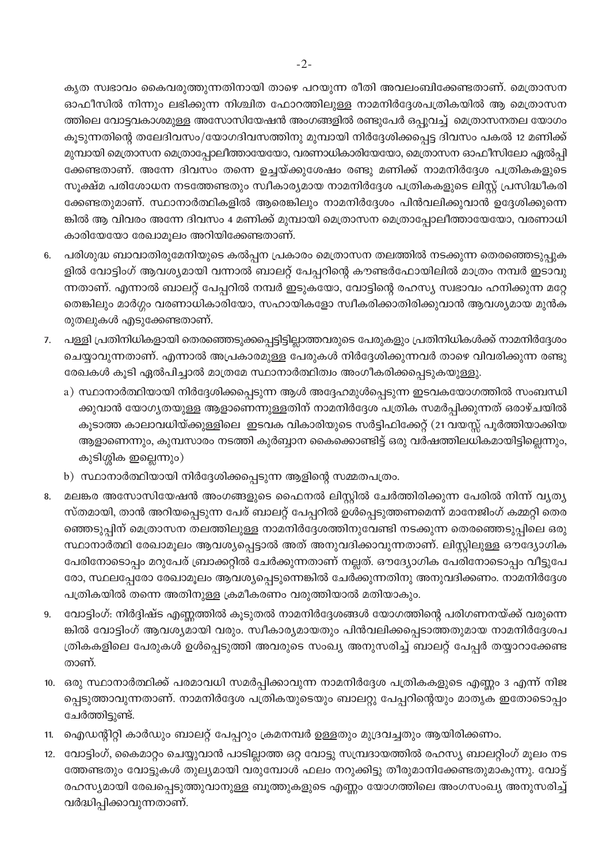കൃത സ്വഭാവം കൈവരുത്തുന്നതിനായി താഴെ പറയുന്ന രീതി അവലംബിക്കേണ്ടതാണ്. മെത്രാസന ഓഫീസിൽ നിന്നും ലഭിക്കുന്ന നിശ്ചിത ഫോറത്തിലുള്ള നാമനിർദ്ദേശപത്രികയിൽ ആ മെത്രാസന ത്തിലെ വോട്ടവകാശമുള്ള അസോസിയേഷൻ അംഗങ്ങളിൽ രണ്ടുപേർ ഒപ്പുവച്ച് മെത്രാസനതല യോഗം കൂടുന്നതിന്റെ തലേദിവസം/യോഗദിവസത്തിനു മുമ്പായി നിർദ്ദേശിക്കപ്പെട്ട ദിവസം പകൽ 12 മണിക്ക് മുമ്പായി മെത്രാസന മെത്രാപ്പോലീത്തായേയോ, വരണാധികാരിയേയോ, മെത്രാസന ഓഫീസിലോ ഏൽപ്പി ക്കേണ്ടതാണ്. അന്നേ ദിവസം തന്നെ ഉച്ചയ്ക്കുശേഷം രണ്ടു മണിക്ക് നാമനിർദ്ദേശ പത്രികകളുടെ സൂക്ഷ്മ പരിശോധന നടത്തേണ്ടതും സ്വീകാര്യമായ നാമനിർദ്ദേശ പത്രികകളുടെ ലിസ്റ്റ് പ്രസിദ്ധീകരി ക്കേണ്ടതുമാണ്. സ്ഥാനാർത്ഥികളിൽ ആരെങ്കിലും നാമനിർദ്ദേശം പിൻവലിക്കുവാൻ ഉദ്ദേശിക്കുന്നെ ങ്കിൽ ആ വിവരം അന്നേ ദിവസം 4 മണിക്ക് മുമ്പായി മെത്രാസന മെത്രാപ്പോലീത്തായേയോ, വരണാധി കാരിയേയോ രേഖാമൂലം അറിയിക്കേണ്ടതാണ്.

- പരിശുദ്ധ ബാവാതിരുമേനിയുടെ കൽപ്പന പ്രകാരം മെത്രാസന തലത്തിൽ നടക്കുന്ന തെരഞ്ഞെടുപ്പുക 6. ളിൽ വോട്ടിംഗ് ആവശ്യമായി വന്നാൽ ബാലറ്റ് പേപ്പറിന്റെ കൗണ്ടർഫോയിലിൽ മാത്രം നമ്പർ ഇടാവു ന്നതാണ്. എന്നാൽ ബാലറ്റ് പേപ്പറിൽ നമ്പർ ഇടുകയോ, വോട്ടിന്റെ രഹസ്യ സ്വഭാവം ഹനിക്കുന്ന മറ്റേ തെങ്കിലും മാർഗ്ഗം വരണാധികാരിയോ, സഹായികളോ സ്വീകരിക്കാതിരിക്കുവാൻ ആവശ്യമായ മുൻക രുതലുകൾ എടുക്കേണ്ടതാണ്.
- പള്ളി പ്രതിനിധികളായി തെരഞ്ഞെടുക്കപ്പെട്ടിട്ടില്ലാത്തവരുടെ പേരുകളും പ്രതിനിധികൾക്ക് നാമനിർദ്ദേശം  $7.$ ചെയ്യാവുന്നതാണ്. എന്നാൽ അപ്രകാരമുള്ള പേരുകൾ നിർദ്ദേശിക്കുന്നവർ താഴെ വിവരിക്കുന്ന രണ്ടു രേഖകൾ കൂടി ഏൽപിച്ചാൽ മാത്രമേ സ്ഥാനാർത്ഥിത്വം അംഗീകരിക്കപ്പെടുകയുള്ളു.
	- a) സ്ഥാനാർത്ഥിയായി നിർദ്ദേശിക്കപ്പെടുന്ന ആൾ അദ്ദേഹമുൾപ്പെടുന്ന ഇടവകയോഗത്തിൽ സംബന്ധി ക്കുവാൻ യോഗ്യതയുള്ള ആളാണെന്നുള്ളതിന് നാമനിർദ്ദേശ പത്രിക സമർപ്പിക്കുന്നത് ഒരാഴ്ചയിൽ കൂടാത്ത കാലാവധിയ്ക്കുള്ളിലെ ഇടവക വികാരിയുടെ സർട്ടിഫിക്കേറ്റ് (21 വയസ്സ് പൂർത്തിയാക്കിയ ആളാണെന്നും, കുമ്പസാരം നടത്തി കുർബ്ബാന കൈക്കൊണ്ടിട്ട് ഒരു വർഷത്തിലധികമായിട്ടില്ലെന്നും, കുടിശ്ശിക ഇല്ലെന്നും)
	- b) സ്ഥാനാർത്ഥിയായി നിർദ്ദേശിക്കപ്പെടുന്ന ആളിന്റെ സമ്മതപത്രം.
- മലങ്കര അസോസിയേഷൻ അംഗങ്ങളുടെ ഫൈനൽ ലിസ്റ്റിൽ ചേർത്തിരിക്കുന്ന പേരിൽ നിന്ന് വ്യത്യ 8. സ്തമായി, താൻ അറിയപ്പെടുന്ന പേര് ബാലറ്റ് പേപ്പറിൽ ഉൾപ്പെടുത്തണമെന്ന് മാനേജിംഗ് കമ്മറ്റി തെര ഞ്ഞെടുപ്പിന് മെത്രാസന തലത്തിലുള്ള നാമനിർദ്ദേശത്തിനുവേണ്ടി നടക്കുന്ന തെരഞ്ഞെടുപ്പിലെ ഒരു സ്ഥാനാർത്ഥി രേഖാമൂലം ആവശ്യപ്പെട്ടാൽ അത് അനുവദിക്കാവുന്നതാണ്. ലിസ്റ്റിലുള്ള ഔദ്യോഗിക പേരിനോടൊപ്പം മറുപേര് ബ്രാക്കറ്റിൽ ചേർക്കുന്നതാണ് നല്ലത്. ഔദ്യോഗിക പേരിനോടൊപ്പം വീട്ടുപേ രോ, സ്ഥലപ്പേരോ രേഖാമൂലം ആവശ്യപ്പെടുന്നെങ്കിൽ ചേർക്കുന്നതിനു അനുവദിക്കണം. നാമനിർദ്ദേശ പത്രികയിൽ തന്നെ അതിനുള്ള ക്രമീകരണം വരുത്തിയാൽ മതിയാകും.
- വോട്ടിംഗ്: നിർദ്ദിഷ്ട എണ്ണത്തിൽ കൂടുതൽ നാമനിർദ്ദേശങ്ങൾ യോഗത്തിന്റെ പരിഗണനയ്ക്ക് വരുന്നെ 9. ങ്കിൽ വോട്ടിംഗ് ആവശ്യമായി വരും. സ്വീകാര്യമായതും പിൻവലിക്കപ്പെടാത്തതുമായ നാമനിർദ്ദേശപ ത്രികകളിലെ പേരുകൾ ഉൾപ്പെടുത്തി അവരുടെ സംഖ്യ അനുസരിച്ച് ബാലറ്റ് പേപ്പർ തയ്യാറാക്കേണ്ട താണ്.
- 10. ഒരു സ്ഥാനാർത്ഥിക്ക് പരമാവധി സമർപ്പിക്കാവുന്ന നാമനിർദ്ദേശ പത്രികകളുടെ എണ്ണം 3 എന്ന് നിജ പ്പെടുത്താവുന്നതാണ്. നാമനിർദ്ദേശ പത്രികയുടെയും ബാലറ്റു പേപ്പറിന്റെയും മാതൃക ഇതോടൊപ്പം ചേർത്തിട്ടുണ്ട്.
- 11. ഐഡന്റിറ്റി കാർഡും ബാലറ്റ് പേപ്പറും ക്രമനമ്പർ ഉള്ളതും മുദ്രവച്ചതും ആയിരിക്കണം.
- 12. വോട്ടിംഗ്, കൈമാറ്റം ചെയ്യുവാൻ പാടില്ലാത്ത ഒറ്റ വോട്ടു സമ്പ്രദായത്തിൽ രഹസ്യ ബാലറ്റിംഗ് മൂലം നട ത്തേണ്ടതും വോട്ടുകൾ തുല്യമായി വരുമ്പോൾ ഫലം നറുക്കിട്ടു തീരുമാനിക്കേണ്ടതുമാകുന്നു. വോട്ട് രഹസ്യമായി രേഖപ്പെടുത്തുവാനുള്ള ബൂത്തുകളുടെ എണ്ണം യോഗത്തിലെ അംഗസംഖ്യ അനുസരിച്ച് വർദ്ധിപ്പിക്കാവുന്നതാണ്.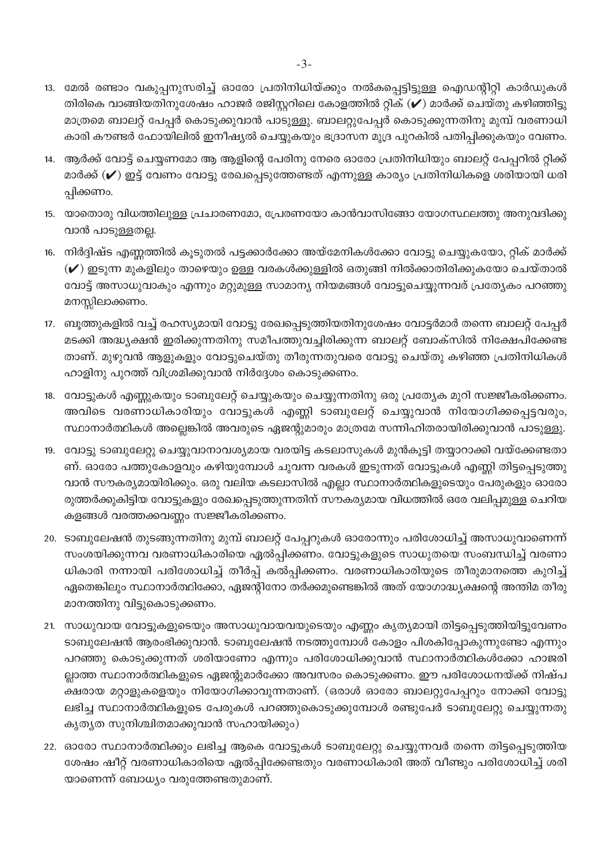- 13. മേൽ രണ്ടാം വകുപ്പനുസരിച്ച് ഓരോ പ്രതിനിധിയ്ക്കും നൽകപ്പെട്ടിട്ടുള്ള ഐഡന്റിറ്റി കാർഡുകൾ തിരികെ വാങ്ങിയതിനുശേഷം ഹാജർ രജിസ്റ്ററിലെ കോളത്തിൽ റ്റിക് (✔) മാർക്ക് ചെയ്തു കഴിഞ്ഞിട്ടു മാത്രമെ ബാലറ്റ് പേപ്പർ കൊടുക്കുവാൻ പാടുള്ളു. ബാലറ്റുപേപ്പർ കൊടുക്കുന്നതിനു മുമ്പ് വരണാധി കാരി കൗണ്ടർ ഫോയിലിൽ ഇനീഷ്യൽ ചെയ്യുകയും ഭദ്രാസന മുദ്ര പുറകിൽ പതിപ്പിക്കുകയും വേണം.
- 14. ആർക്ക് വോട്ട് ചെയ്യണമോ ആ ആളിന്റെ പേരിനു നേരെ ഓരോ പ്രതിനിധിയും ബാലറ്റ് പേപ്പറിൽ റ്റിക്ക് മാർക്ക് (✔) ഇട്ട് വേണം വോട്ടു രേഖപ്പെടുത്തേണ്ടത് എന്നുള്ള കാര്യം പ്രതിനിധികളെ ശരിയായി ധരി പ്പിക്കണം.
- 15. യാതൊരു വിധത്തിലുള്ള പ്രചാരണമോ, പ്രേരണയോ കാൻവാസിങ്ങോ യോഗസ്ഥലത്തു അനുവദിക്കു വാൻ പാടുള്ളതല്ല.
- 16. നിർദ്ദിഷ്ട എണ്ണത്തിൽ കൂടുതൽ പട്ടക്കാർക്കോ അയ്മേനികൾക്കോ വോട്ടു ചെയ്യുകയോ, റ്റിക് മാർക്ക്  $(\checkmark)$  ഇടുന്ന മുകളിലും താഴെയും ഉള്ള വരകൾക്കുള്ളിൽ ഒതുങ്ങി നിൽക്കാതിരിക്കുകയോ ചെയ്താൽ വോട്ട് അസാധുവാകും എന്നും മറ്റുമുള്ള സാമാന്യ നിയമങ്ങൾ വോട്ടുചെയ്യുന്നവര് പ്രത്യേകം പറഞ്ഞു മനസ്സിലാക്കണം.
- 17. ബൂത്തുകളിൽ വച്ച് രഹസ്യമായി വോട്ടു രേഖപ്പെടുത്തിയതിനുശേഷം വോട്ടർമാർ തന്നെ ബാലറ്റ് പേപ്പർ മടക്കി അദ്ധ്യക്ഷൻ ഇരിക്കുന്നതിനു സമീപത്തുവച്ചിരിക്കുന്ന ബാലറ്റ് ബോക്സിൽ നിക്ഷേപിക്കേണ്ട താണ്. മുഴുവൻ ആളുകളും വോട്ടുചെയ്തു തീരുന്നതുവരെ വോട്ടു ചെയ്തു കഴിഞ്ഞ പ്രതിനിധികൾ ഹാളിനു പുറത്ത് വിശ്രമിക്കുവാൻ നിർദ്ദേശം കൊടുക്കണം.
- 18. വോട്ടുകൾ എണ്ണുകയും ടാബുലേറ്റ് ചെയ്യുകയും ചെയ്യുന്നതിനു ഒരു പ്രത്യേക മുറി സജ്ജീകരിക്കണം. അവിടെ വരണാധികാരിയും വോട്ടുകൾ എണ്ണി ടാബുലേറ്റ് ചെയ്യുവാൻ നിയോഗിക്കപ്പെട്ടവരും, സ്ഥാനാർത്ഥികൾ അല്ലെങ്കിൽ അവരുടെ ഏജന്റുമാരും മാത്രമേ സന്നിഹിതരായിരിക്കുവാൻ പാടുള്ളു.
- 19. വോട്ടു ടാബുലേറ്റു ചെയ്യുവാനാവശ്യമായ വരയിട്ട കടലാസുകൾ മുൻകൂട്ടി തയ്യാറാക്കി വയ്ക്കേണ്ടതാ ണ്. ഓരോ പത്തുകോളവും കഴിയുമ്പോൾ ചുവന്ന വരകൾ ഇടുന്നത് വോട്ടുകൾ എണ്ണി തിട്ടപ്പെടുത്തു വാൻ സൗകര്യമായിരിക്കും. ഒരു വലിയ കടലാസിൽ എല്ലാ സ്ഥാനാർത്ഥികളുടെയും പേരുകളും ഓരോ രുത്തർക്കുകിട്ടിയ വോട്ടുകളും രേഖപ്പെടുത്തുന്നതിന് സൗകര്യമായ വിധത്തിൽ ഒരേ വലിപ്പമുള്ള ചെറിയ കളങ്ങൾ വരത്തക്കവണ്ണം സജ്ജീകരിക്കണം.
- 20. ടാബുലേഷൻ തുടങ്ങുന്നതിനു മുമ്പ് ബാലറ്റ് പേപ്പറുകൾ ഓരോന്നും പരിശോധിച്ച് അസാധുവാണെന്ന് സംശയിക്കുന്നവ വരണാധികാരിയെ ഏൽപ്പിക്കണം. വോട്ടുകളുടെ സാധുതയെ സംബന്ധിച്ച് വരണാ ധികാരി നന്നായി പരിശോധിച്ച് തീർപ്പ് കൽപ്പിക്കണം. വരണാധികാരിയുടെ തീരുമാനത്തെ കുറിച്ച് ഏതെങ്കിലും സ്ഥാനാർത്ഥിക്കോ, ഏജന്റിനോ തർക്കമുണ്ടെങ്കിൽ അത് യോഗാദ്ധ്യക്ഷന്റെ അന്തിമ തീരു മാനത്തിനു വിട്ടുകൊടുക്കണം.
- 21. സാധുവായ വോട്ടുകളുടെയും അസാധുവായവയുടെയും എണ്ണം കൃത്യമായി തിട്ടപ്പെടുത്തിയിട്ടുവേണം ടാബുലേഷൻ ആരംഭിക്കുവാൻ. ടാബുലേഷൻ നടത്തുമ്പോൾ കോളം പിശകിപ്പോകുന്നുണ്ടോ എന്നും പറഞ്ഞു കൊടുക്കുന്നത് ശരിയാണോ എന്നും പരിശോധിക്കുവാൻ സ്ഥാനാർത്ഥികൾക്കോ ഹാജരി ല്ലാത്ത സ്ഥാനാർത്ഥികളുടെ ഏജന്റുമാർക്കോ അവസരം കൊടുക്കണം. ഈ പരിശോധനയ്ക്ക് നിഷ്പ ക്ഷരായ മറ്റാളുകളെയും നിയോഗിക്കാവുന്നതാണ്. (ഒരാൾ ഓരോ ബാലറ്റുപേപ്പറും നോക്കി വോട്ടു ലഭിച്ച സ്ഥാനാർത്ഥികളുടെ പേരുകൾ പറഞ്ഞുകൊടുക്കുമ്പോൾ രണ്ടുപേർ ടാബുലേറ്റു ചെയ്യുന്നതു കൃത്യത സുനിശ്ചിതമാക്കുവാൻ സഹായിക്കും)
- 22. ഓരോ സ്ഥാനാർത്ഥിക്കും ലഭിച്ച ആകെ വോട്ടുകൾ ടാബുലേറ്റു ചെയ്യുന്നവർ തന്നെ തിട്ടപ്പെടുത്തിയ ശേഷം ഷീറ്റ് വരണാധികാരിയെ ഏൽപ്പിക്കേണ്ടതും വരണാധികാരി അത് വീണ്ടും പരിശോധിച്ച് ശരി യാണെന്ന് ബോധ്യം വരുത്തേണ്ടതുമാണ്.